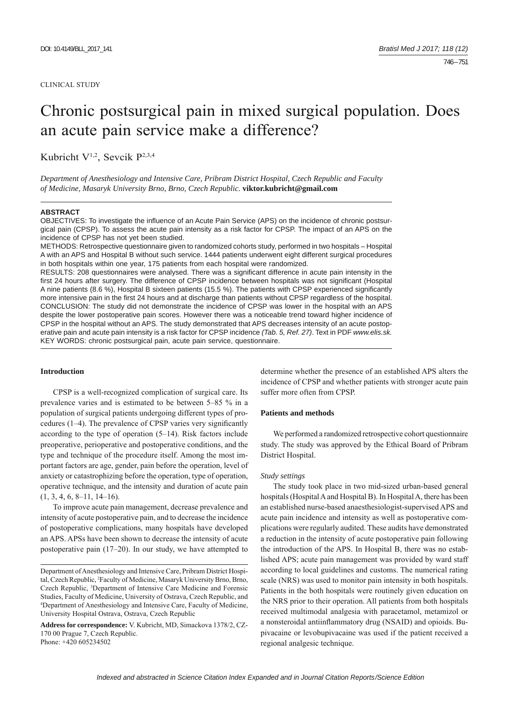#### CLINICAL STUDY

# Chronic postsurgical pain in mixed surgical population. Does an acute pain service make a difference?

Kubricht V1,2, Sevcik P2,3,4

*Department of Anesthesiology and Intensive Care, Pribram District Hospital, Czech Republic and Faculty of Medicine, Masaryk University Brno, Brno, Czech Republic.* **viktor.kubricht@gmail.com**

#### **ABSTRACT**

OBJECTIVES: To investigate the influence of an Acute Pain Service (APS) on the incidence of chronic postsurgical pain (CPSP). To assess the acute pain intensity as a risk factor for CPSP. The impact of an APS on the incidence of CPSP has not yet been studied.

METHODS: Retrospective questionnaire given to randomized cohorts study, performed in two hospitals – Hospital A with an APS and Hospital B without such service. 1444 patients underwent eight different surgical procedures in both hospitals within one year, 175 patients from each hospital were randomized.

RESULTS: 208 questionnaires were analysed. There was a significant difference in acute pain intensity in the first 24 hours after surgery. The difference of CPSP incidence between hospitals was not significant (Hospital A nine patients (8.6 %), Hospital B sixteen patients (15.5 %). The patients with CPSP experienced significantly more intensive pain in the first 24 hours and at discharge than patients without CPSP regardless of the hospital. CONCLUSION: The study did not demonstrate the incidence of CPSP was lower in the hospital with an APS despite the lower postoperative pain scores. However there was a noticeable trend toward higher incidence of CPSP in the hospital without an APS. The study demonstrated that APS decreases intensity of an acute postoperative pain and acute pain intensity is a risk factor for CPSP incidence *(Tab. 5, Ref. 27)*. Text in PDF *www.elis.sk.* KEY WORDS: chronic postsurgical pain, acute pain service, questionnaire.

## **Introduction**

CPSP is a well-recognized complication of surgical care. Its prevalence varies and is estimated to be between 5–85 % in a population of surgical patients undergoing different types of procedures  $(1-4)$ . The prevalence of CPSP varies very significantly according to the type of operation (5–14). Risk factors include preoperative, perioperative and postoperative conditions, and the type and technique of the procedure itself. Among the most important factors are age, gender, pain before the operation, level of anxiety or catastrophizing before the operation, type of operation, operative technique, and the intensity and duration of acute pain  $(1, 3, 4, 6, 8-11, 14-16).$ 

To improve acute pain management, decrease prevalence and intensity of acute postoperative pain, and to decrease the incidence of postoperative complications, many hospitals have developed an APS. APSs have been shown to decrease the intensity of acute postoperative pain (17–20). In our study, we have attempted to determine whether the presence of an established APS alters the incidence of CPSP and whether patients with stronger acute pain suffer more often from CPSP.

#### **Patients and methods**

We performed a randomized retrospective cohort questionnaire study. The study was approved by the Ethical Board of Pribram District Hospital.

## *Study settings*

The study took place in two mid-sized urban-based general hospitals (Hospital A and Hospital B). In Hospital A, there has been an established nurse-based anaesthesiologist-supervised APS and acute pain incidence and intensity as well as postoperative complications were regularly audited. These audits have demonstrated a reduction in the intensity of acute postoperative pain following the introduction of the APS. In Hospital B, there was no established APS; acute pain management was provided by ward staff according to local guidelines and customs. The numerical rating scale (NRS) was used to monitor pain intensity in both hospitals. Patients in the both hospitals were routinely given education on the NRS prior to their operation. All patients from both hospitals received multimodal analgesia with paracetamol, metamizol or a nonsteroidal antiinflammatory drug (NSAID) and opioids. Bupivacaine or levobupivacaine was used if the patient received a regional analgesic technique.

Department of Anesthesiology and Intensive Care, Pribram District Hospital, Czech Republic, <sup>2</sup>Faculty of Medicine, Masaryk University Brno, Brno, Czech Republic, 3 Department of Intensive Care Medicine and Forensic Studies, Faculty of Medicine, University of Ostrava, Czech Republic, and 4 Department of Anesthesiology and Intensive Care, Faculty of Medicine, University Hospital Ostrava, Ostrava, Czech Republic

**Address for correspondence:** V. Kubricht, MD, Simackova 1378/2, CZ-170 00 Prague 7, Czech Republic. Phone: +420 605234502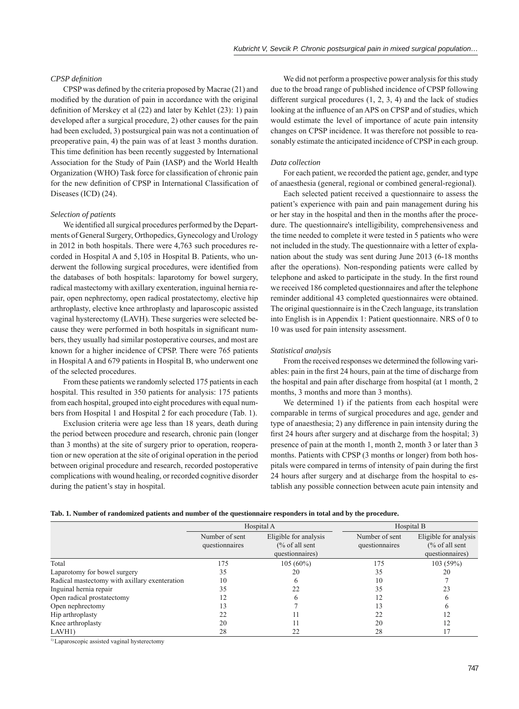## *CPSP defi nition*

CPSP was defined by the criteria proposed by Macrae (21) and modified by the duration of pain in accordance with the original definition of Merskey et al  $(22)$  and later by Kehlet  $(23)$ : 1) pain developed after a surgical procedure, 2) other causes for the pain had been excluded, 3) postsurgical pain was not a continuation of preoperative pain, 4) the pain was of at least 3 months duration. This time definition has been recently suggested by International Association for the Study of Pain (IASP) and the World Health Organization (WHO) Task force for classification of chronic pain for the new definition of CPSP in International Classification of Diseases (ICD) (24).

## *Selection of patients*

We identified all surgical procedures performed by the Departments of General Surgery, Orthopedics, Gynecology and Urology in 2012 in both hospitals. There were 4,763 such procedures recorded in Hospital A and 5,105 in Hospital B. Patients, who underwent the following surgical procedures, were identified from the databases of both hospitals: laparotomy for bowel surgery, radical mastectomy with axillary exenteration, inguinal hernia repair, open nephrectomy, open radical prostatectomy, elective hip arthroplasty, elective knee arthroplasty and laparoscopic assisted vaginal hysterectomy (LAVH). These surgeries were selected because they were performed in both hospitals in significant numbers, they usually had similar postoperative courses, and most are known for a higher incidence of CPSP. There were 765 patients in Hospital A and 679 patients in Hospital B, who underwent one of the selected procedures.

From these patients we randomly selected 175 patients in each hospital. This resulted in 350 patients for analysis: 175 patients from each hospital, grouped into eight procedures with equal numbers from Hospital 1 and Hospital 2 for each procedure (Tab. 1).

Exclusion criteria were age less than 18 years, death during the period between procedure and research, chronic pain (longer than 3 months) at the site of surgery prior to operation, reoperation or new operation at the site of original operation in the period between original procedure and research, recorded postoperative complications with wound healing, or recorded cognitive disorder during the patient's stay in hospital.

We did not perform a prospective power analysis for this study due to the broad range of published incidence of CPSP following different surgical procedures (1, 2, 3, 4) and the lack of studies looking at the influence of an APS on CPSP and of studies, which would estimate the level of importance of acute pain intensity changes on CPSP incidence. It was therefore not possible to reasonably estimate the anticipated incidence of CPSP in each group.

## *Data collection*

For each patient, we recorded the patient age, gender, and type of anaesthesia (general, regional or combined general-regional).

Each selected patient received a questionnaire to assess the patient's experience with pain and pain management during his or her stay in the hospital and then in the months after the procedure. The questionnaire's intelligibility, comprehensiveness and the time needed to complete it were tested in 5 patients who were not included in the study. The questionnaire with a letter of explanation about the study was sent during June 2013 (6-18 months after the operations). Non-responding patients were called by telephone and asked to participate in the study. In the first round we received 186 completed questionnaires and after the telephone reminder additional 43 completed questionnaires were obtained. The original questionnaire is in the Czech language, its translation into English is in Appendix 1: Patient questionnaire. NRS of 0 to 10 was used for pain intensity assessment.

#### *Statistical analysis*

From the received responses we determined the following variables: pain in the first 24 hours, pain at the time of discharge from the hospital and pain after discharge from hospital (at 1 month, 2 months, 3 months and more than 3 months).

We determined 1) if the patients from each hospital were comparable in terms of surgical procedures and age, gender and type of anaesthesia; 2) any difference in pain intensity during the first 24 hours after surgery and at discharge from the hospital; 3) presence of pain at the month 1, month 2, month 3 or later than 3 months. Patients with CPSP (3 months or longer) from both hospitals were compared in terms of intensity of pain during the first 24 hours after surgery and at discharge from the hospital to establish any possible connection between acute pain intensity and

| Tab. 1. Number of randomized patients and number of the questionnaire responders in total and by the procedure. |  |
|-----------------------------------------------------------------------------------------------------------------|--|
|-----------------------------------------------------------------------------------------------------------------|--|

|                                               |                                  | Hospital A                                                            | Hospital B                       |                                                                       |
|-----------------------------------------------|----------------------------------|-----------------------------------------------------------------------|----------------------------------|-----------------------------------------------------------------------|
|                                               | Number of sent<br>questionnaires | Eligible for analysis<br>$\frac{6}{6}$ of all sent<br>questionnaires) | Number of sent<br>questionnaires | Eligible for analysis<br>$\frac{6}{6}$ of all sent<br>questionnaires) |
| Total                                         | 175                              | $105(60\%)$                                                           | 175                              | 103(59%)                                                              |
| Laparotomy for bowel surgery                  | 35                               | 20                                                                    | 35                               | 20                                                                    |
| Radical mastectomy with axillary exenteration | 10                               |                                                                       | 10                               |                                                                       |
| Inguinal hernia repair                        | 35                               | 22                                                                    | 35                               | 23                                                                    |
| Open radical prostatectomy                    | 12                               |                                                                       |                                  |                                                                       |
| Open nephrectomy                              | 13                               |                                                                       | 13                               |                                                                       |
| Hip arthroplasty                              | 22                               |                                                                       | 22                               |                                                                       |
| Knee arthroplasty                             | 20                               |                                                                       | 20                               |                                                                       |
| LAVH1)                                        | 28                               |                                                                       | 28                               |                                                                       |

<sup>1)</sup> Laparoscopic assisted vaginal hysterectomy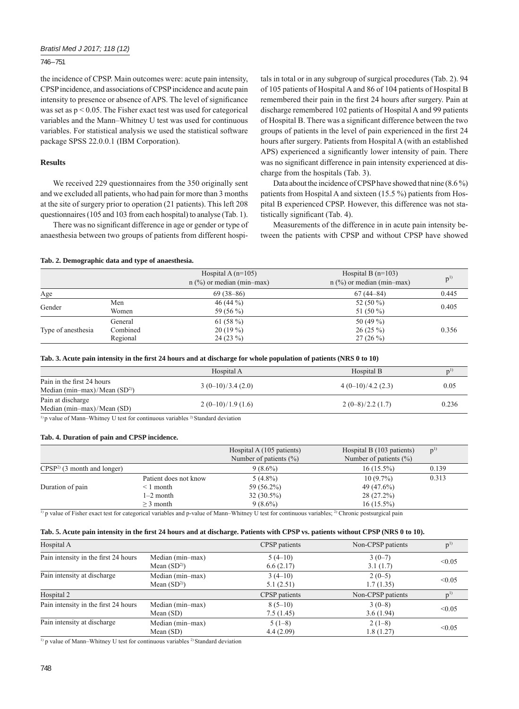## *Bratisl Med J 2017; 118 (12)*

## 746 – 751

the incidence of CPSP. Main outcomes were: acute pain intensity, CPSP incidence, and associations of CPSP incidence and acute pain intensity to presence or absence of APS. The level of significance was set as  $p < 0.05$ . The Fisher exact test was used for categorical variables and the Mann–Whitney U test was used for continuous variables. For statistical analysis we used the statistical software package SPSS 22.0.0.1 (IBM Corporation).

## **Results**

We received 229 questionnaires from the 350 originally sent and we excluded all patients, who had pain for more than 3 months at the site of surgery prior to operation (21 patients). This left 208 questionnaires (105 and 103 from each hospital) to analyse (Tab. 1).

There was no significant difference in age or gender or type of anaesthesia between two groups of patients from different hospitals in total or in any subgroup of surgical procedures (Tab. 2). 94 of 105 patients of Hospital A and 86 of 104 patients of Hospital B remembered their pain in the first 24 hours after surgery. Pain at discharge remembered 102 patients of Hospital A and 99 patients of Hospital B. There was a significant difference between the two groups of patients in the level of pain experienced in the first 24 hours after surgery. Patients from Hospital A (with an established APS) experienced a significantly lower intensity of pain. There was no significant difference in pain intensity experienced at discharge from the hospitals (Tab. 3).

Data about the incidence of CPSP have showed that nine (8.6 %) patients from Hospital A and sixteen (15.5 %) patients from Hospital B experienced CPSP. However, this difference was not statistically significant (Tab. 4).

Measurements of the difference in in acute pain intensity between the patients with CPSP and without CPSP have showed

## **Tab. 2. Demographic data and type of anaesthesia.**

|                    |          | Hospital A $(n=105)$<br>$n$ (%) or median (min-max) | Hospital B $(n=103)$<br>$n$ (%) or median (min-max) | $D^{1}$ |  |
|--------------------|----------|-----------------------------------------------------|-----------------------------------------------------|---------|--|
| Age                |          | $69(38-86)$                                         | $67(44 - 84)$                                       | 0.445   |  |
|                    | Men      | 46 (44 $\%$ )                                       | 52 $(50\%)$                                         | 0.405   |  |
| Gender             | Women    | 59 (56 %)                                           | 51 $(50\%)$                                         |         |  |
| Type of anesthesia | General  | 61 $(58\%)$                                         | 50 $(49\%)$                                         |         |  |
|                    | Combined | $20(19\%)$                                          | $26(25\%)$                                          | 0.356   |  |
|                    | Regional | $24(23\%)$                                          | $27(26\%)$                                          |         |  |

| Tab. 3. Acute pain intensity in the first 24 hours and at discharge for whole population of patients (NRS 0 to 10) |  |  |
|--------------------------------------------------------------------------------------------------------------------|--|--|
|--------------------------------------------------------------------------------------------------------------------|--|--|

|                                                                                   | Hospital A         | Hospital B         | n'    |  |
|-----------------------------------------------------------------------------------|--------------------|--------------------|-------|--|
| Pain in the first 24 hours<br>Median (min-max)/Mean $(SD2)$                       | $3(0-10)/3.4(2.0)$ | $4(0-10)/4.2(2.3)$ | 0.05  |  |
| Pain at discharge<br>Median $(min-max)/Mean(SD)$                                  | $2(0-10)/1.9(1.6)$ | $2(0-8)/2.2(1.7)$  | 0.236 |  |
| 1) n volvo of Monn. Whitnoy II toot for continuous variables 2 Standard doviation |                    |                    |       |  |

p value of Mann–Whitney U test for continuous variables <sup>2)</sup> Standard deviation

## **Tab. 4. Duration of pain and CPSP incidence.**

|                              |                       | Hospital A (105 patients)  | Hospital B (103 patients)  | $p^{1}$ |
|------------------------------|-----------------------|----------------------------|----------------------------|---------|
|                              |                       | Number of patients $(\% )$ | Number of patients $(\% )$ |         |
| $CPSP2$ (3 month and longer) |                       | $9(8.6\%)$                 | $16(15.5\%)$               | 0.139   |
|                              | Patient does not know | $5(4.8\%)$                 | $10(9.7\%)$                | 0.313   |
| Duration of pain             | $\leq 1$ month        | 59 (56.2%)                 | 49 (47.6%)                 |         |
|                              | $1-2$ month           | $32(30.5\%)$               | 28 (27.2%)                 |         |
|                              | $>$ 3 month           | $9(8.6\%)$                 | $16(15.5\%)$               |         |

<sup>1)</sup> p value of Fisher exact test for categorical variables and p-value of Mann–Whitney U test for continuous variables; <sup>2)</sup> Chronic postsurgical pain

## Tab. 5. Acute pain intensity in the first 24 hours and at discharge. Patients with CPSP vs. patients without CPSP (NRS 0 to 10).

| Hospital A                           |                                  | CPSP patients          | Non-CPSP patients     | p <sup>1</sup> |
|--------------------------------------|----------------------------------|------------------------|-----------------------|----------------|
| Pain intensity in the first 24 hours | Median (min-max)<br>Mean $(SD2)$ | $5(4-10)$<br>6.6(2.17) | $3(0-7)$<br>3.1(1.7)  | < 0.05         |
| Pain intensity at discharge          | Median (min-max)<br>Mean $(SD2)$ | $3(4-10)$<br>5.1(2.51) | $2(0-5)$<br>1.7(1.35) | < 0.05         |
| Hospital 2                           |                                  | CPSP patients          | Non-CPSP patients     |                |
| Pain intensity in the first 24 hours | Median (min-max)<br>Mean $(SD)$  | $8(5-10)$<br>7.5(1.45) | $3(0-8)$<br>3.6(1.94) | < 0.05         |
| Pain intensity at discharge          | Median (min-max)<br>Mean $(SD)$  | $5(1-8)$<br>4.4(2.09)  | $2(1-8)$<br>1.8(1.27) | < 0.05         |

<sup>1)</sup> p value of Mann–Whitney U test for continuous variables <sup>2)</sup> Standard deviation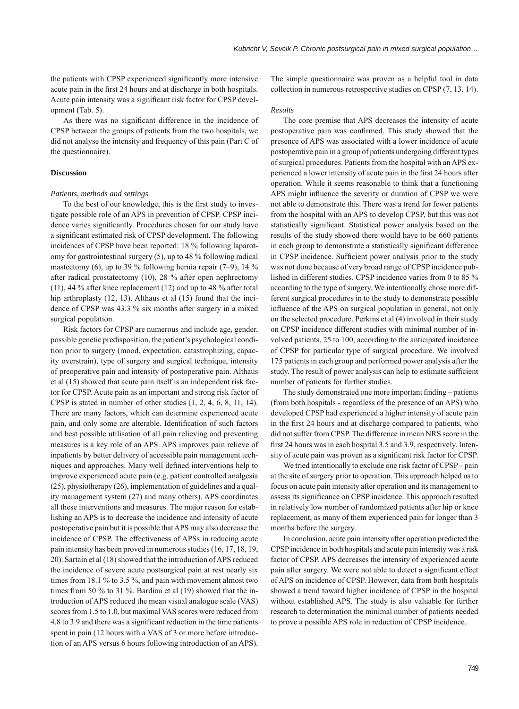the patients with CPSP experienced significantly more intensive acute pain in the first 24 hours and at discharge in both hospitals. Acute pain intensity was a significant risk factor for CPSP development (Tab. 5).

As there was no significant difference in the incidence of CPSP between the groups of patients from the two hospitals, we did not analyse the intensity and frequency of this pain (Part C of the questionnaire).

## **Discussion**

## *Patients, methods and settings*

To the best of our knowledge, this is the first study to investigate possible role of an APS in prevention of CPSP. CPSP incidence varies significantly. Procedures chosen for our study have a significant estimated risk of CPSP development. The following incidences of CPSP have been reported: 18 % following laparotomy for gastrointestinal surgery (5), up to 48 % following radical mastectomy  $(6)$ , up to 39 % following hernia repair  $(7-9)$ , 14 % after radical prostatectomy (10), 28 % after open nephrectomy (11), 44 % after knee replacement (12) and up to 48 % after total hip arthroplasty (12, 13). Althaus et al (15) found that the incidence of CPSP was 43.3 % six months after surgery in a mixed surgical population.

Risk factors for CPSP are numerous and include age, gender, possible genetic predisposition, the patient's psychological condition prior to surgery (mood, expectation, catastrophizing, capacity overstrain), type of surgery and surgical technique, intensity of preoperative pain and intensity of postoperative pain. Althaus et al (15) showed that acute pain itself is an independent risk factor for CPSP. Acute pain as an important and strong risk factor of CPSP is stated in number of other studies (1, 2, 4, 6, 8, 11, 14). There are many factors, which can determine experienced acute pain, and only some are alterable. Identification of such factors and best possible utilisation of all pain relieving and preventing measures is a key role of an APS. APS improves pain relieve of inpatients by better delivery of accessible pain management techniques and approaches. Many well defined interventions help to improve experienced acute pain (e.g. patient controlled analgesia (25), physiotherapy (26), implementation of guidelines and a quality management system (27) and many others). APS coordinates all these interventions and measures. The major reason for establishing an APS is to decrease the incidence and intensity of acute postoperative pain but it is possible that APS may also decrease the incidence of CPSP. The effectiveness of APSs in reducing acute pain intensity has been proved in numerous studies (16, 17, 18, 19, 20). Sartain et al (18) showed that the introduction of APS reduced the incidence of severe acute postsurgical pain at rest nearly six times from 18.1 % to 3.5 %, and pain with movement almost two times from 50 % to 31 %. Bardiau et al (19) showed that the introduction of APS reduced the mean visual analogue scale (VAS) scores from 1.5 to 1.0, but maximal VAS scores were reduced from 4.8 to 3.9 and there was a significant reduction in the time patients spent in pain (12 hours with a VAS of 3 or more before introduction of an APS versus 6 hours following introduction of an APS).

The simple questionnaire was proven as a helpful tool in data collection in numerous retrospective studies on CPSP (7, 13, 14).

## *Results*

The core premise that APS decreases the intensity of acute postoperative pain was confirmed. This study showed that the presence of APS was associated with a lower incidence of acute postoperative pain in a group of patients undergoing different types of surgical procedures. Patients from the hospital with an APS experienced a lower intensity of acute pain in the first 24 hours after operation. While it seems reasonable to think that a functioning APS might influence the severity or duration of CPSP we were not able to demonstrate this. There was a trend for fewer patients from the hospital with an APS to develop CPSP, but this was not statistically significant. Statistical power analysis based on the results of the study showed there would have to be 660 patients in each group to demonstrate a statistically significant difference in CPSP incidence. Sufficient power analysis prior to the study was not done because of very broad range of CPSP incidence published in different studies. CPSP incidence varies from 0 to 85 % according to the type of surgery. We intentionally chose more different surgical procedures in to the study to demonstrate possible influence of the APS on surgical population in general, not only on the selected procedure. Perkins et al (4) involved in their study on CPSP incidence different studies with minimal number of involved patients, 25 to 100, according to the anticipated incidence of CPSP for particular type of surgical procedure. We involved 175 patients in each group and performed power analysis after the study. The result of power analysis can help to estimate sufficient number of patients for further studies.

The study demonstrated one more important finding – patients (from both hospitals - regardless of the presence of an APS) who developed CPSP had experienced a higher intensity of acute pain in the first 24 hours and at discharge compared to patients, who did not suffer from CPSP. The difference in mean NRS score in the first 24 hours was in each hospital 3.5 and 3.9, respectively. Intensity of acute pain was proven as a significant risk factor for CPSP.

We tried intentionally to exclude one risk factor of CPSP – pain at the site of surgery prior to operation. This approach helped us to focus on acute pain intensity after operation and its management to assess its significance on CPSP incidence. This approach resulted in relatively low number of randomized patients after hip or knee replacement, as many of them experienced pain for longer than 3 months before the surgery.

In conclusion, acute pain intensity after operation predicted the CPSP incidence in both hospitals and acute pain intensity was a risk factor of CPSP. APS decreases the intensity of experienced acute pain after surgery. We were not able to detect a significant effect of APS on incidence of CPSP. However, data from both hospitals showed a trend toward higher incidence of CPSP in the hospital without established APS. The study is also valuable for further research to determination the minimal number of patients needed to prove a possible APS role in reduction of CPSP incidence.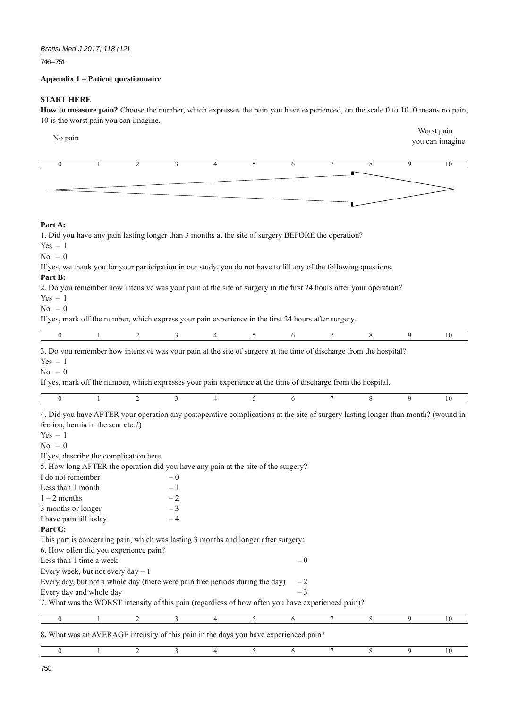746 – 751

# **Appendix 1 – Patient questionnaire**

# **START HERE**

**How to measure pain?** Choose the number, which expresses the pain you have experienced, on the scale 0 to 10. 0 means no pain, 10 is the worst pain you can imagine.

| No pain                                                                                                                           |   |                                                                                                                                 |      |                |   |      |   |   |   | Worst pain<br>you can imagine |
|-----------------------------------------------------------------------------------------------------------------------------------|---|---------------------------------------------------------------------------------------------------------------------------------|------|----------------|---|------|---|---|---|-------------------------------|
| $\boldsymbol{0}$                                                                                                                  | 1 | $\overline{c}$                                                                                                                  | 3    | $\overline{4}$ | 5 | 6    | 7 | 8 | 9 | 10                            |
|                                                                                                                                   |   |                                                                                                                                 |      |                |   |      |   |   |   |                               |
|                                                                                                                                   |   |                                                                                                                                 |      |                |   |      |   |   |   |                               |
| Part A:                                                                                                                           |   |                                                                                                                                 |      |                |   |      |   |   |   |                               |
| $Yes - 1$                                                                                                                         |   | 1. Did you have any pain lasting longer than 3 months at the site of surgery BEFORE the operation?                              |      |                |   |      |   |   |   |                               |
| $No = 0$                                                                                                                          |   |                                                                                                                                 |      |                |   |      |   |   |   |                               |
| If yes, we thank you for your participation in our study, you do not have to fill any of the following questions.<br>Part B:      |   |                                                                                                                                 |      |                |   |      |   |   |   |                               |
| 2. Do you remember how intensive was your pain at the site of surgery in the first 24 hours after your operation?                 |   |                                                                                                                                 |      |                |   |      |   |   |   |                               |
| $Yes - 1$                                                                                                                         |   |                                                                                                                                 |      |                |   |      |   |   |   |                               |
| $No - 0$                                                                                                                          |   |                                                                                                                                 |      |                |   |      |   |   |   |                               |
| If yes, mark off the number, which express your pain experience in the first 24 hours after surgery.                              |   |                                                                                                                                 |      |                |   |      |   |   |   |                               |
| $\boldsymbol{0}$                                                                                                                  |   | 2                                                                                                                               | 3    | 4              | 5 | 6    | 7 | 8 | 9 | 10                            |
| 3. Do you remember how intensive was your pain at the site of surgery at the time of discharge from the hospital?                 |   |                                                                                                                                 |      |                |   |      |   |   |   |                               |
| $No - 0$                                                                                                                          |   | If yes, mark off the number, which expresses your pain experience at the time of discharge from the hospital.<br>$\overline{2}$ |      |                |   |      |   |   |   |                               |
| $\mathbf{0}$                                                                                                                      | 1 |                                                                                                                                 | 3    | 4              | 5 | 6    |   | 8 | 9 | 10                            |
| 4. Did you have AFTER your operation any postoperative complications at the site of surgery lasting longer than month? (wound in- |   |                                                                                                                                 |      |                |   |      |   |   |   |                               |
| fection, hernia in the scar etc.?)                                                                                                |   |                                                                                                                                 |      |                |   |      |   |   |   |                               |
| $Yes - 1$                                                                                                                         |   |                                                                                                                                 |      |                |   |      |   |   |   |                               |
| $No - 0$                                                                                                                          |   |                                                                                                                                 |      |                |   |      |   |   |   |                               |
| If yes, describe the complication here:<br>5. How long AFTER the operation did you have any pain at the site of the surgery?      |   |                                                                                                                                 |      |                |   |      |   |   |   |                               |
| I do not remember                                                                                                                 |   |                                                                                                                                 | $-0$ |                |   |      |   |   |   |                               |
| Less than 1 month                                                                                                                 |   |                                                                                                                                 | - 1  |                |   |      |   |   |   |                               |
| $1 - 2$ months                                                                                                                    |   |                                                                                                                                 | $-2$ |                |   |      |   |   |   |                               |
| 3 months or longer                                                                                                                |   |                                                                                                                                 | - 3  |                |   |      |   |   |   |                               |
| I have pain till today                                                                                                            |   |                                                                                                                                 | -4   |                |   |      |   |   |   |                               |
| Part C:                                                                                                                           |   |                                                                                                                                 |      |                |   |      |   |   |   |                               |
| This part is concerning pain, which was lasting 3 months and longer after surgery:                                                |   |                                                                                                                                 |      |                |   |      |   |   |   |                               |
| 6. How often did you experience pain?                                                                                             |   |                                                                                                                                 |      |                |   |      |   |   |   |                               |
| Less than 1 time a week                                                                                                           |   |                                                                                                                                 |      |                |   | $-0$ |   |   |   |                               |
| Every week, but not every day - 1                                                                                                 |   |                                                                                                                                 |      |                |   |      |   |   |   |                               |
| Every day, but not a whole day (there were pain free periods during the day)                                                      |   |                                                                                                                                 |      |                |   | $-2$ |   |   |   |                               |
| Every day and whole day                                                                                                           |   |                                                                                                                                 |      |                |   | $-3$ |   |   |   |                               |
| 7. What was the WORST intensity of this pain (regardless of how often you have experienced pain)?                                 |   |                                                                                                                                 |      |                |   |      |   |   |   |                               |
| $\boldsymbol{0}$                                                                                                                  | 1 | $\overline{2}$                                                                                                                  | 3    | 4              | 5 | 6    | 7 | 8 | 9 | 10                            |
| 8. What was an AVERAGE intensity of this pain in the days you have experienced pain?                                              |   |                                                                                                                                 |      |                |   |      |   |   |   |                               |
| $\boldsymbol{0}$                                                                                                                  | 1 | 2                                                                                                                               | 3    | 4              | 5 | 6    | 7 | 8 | 9 | 10                            |